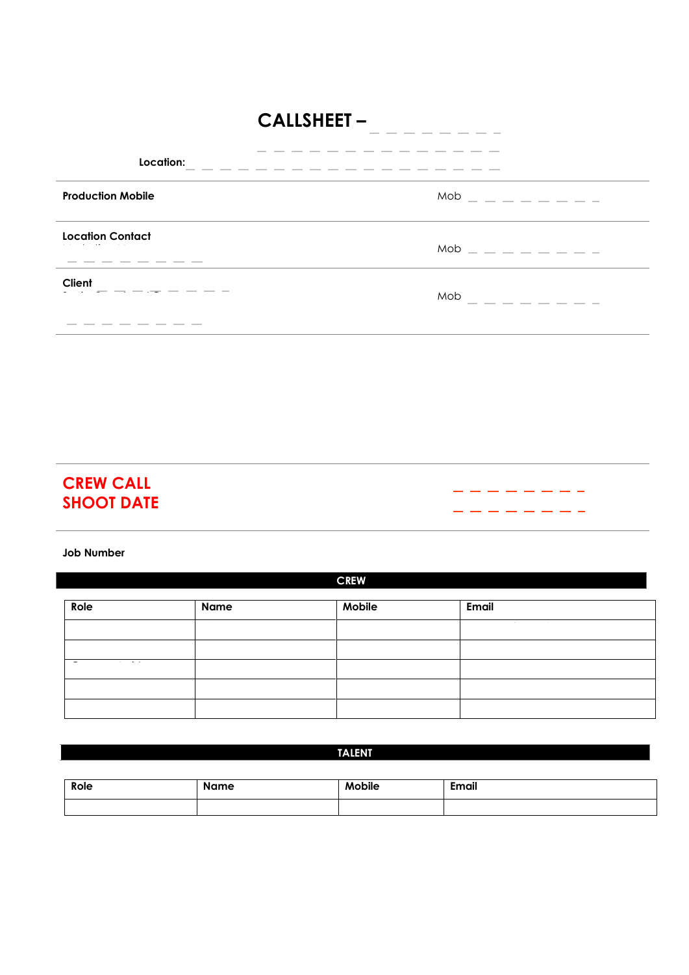## **CALLSHEET -**

| Location:                                                       | $\label{eq:1}$<br><b>Contract Contract Contract</b>                                                                                                                                                                                                                                                                                                                                                                                                                                                                                                                                                                                                                                                                                                                                                                                                                                                                                                                                                                            |
|-----------------------------------------------------------------|--------------------------------------------------------------------------------------------------------------------------------------------------------------------------------------------------------------------------------------------------------------------------------------------------------------------------------------------------------------------------------------------------------------------------------------------------------------------------------------------------------------------------------------------------------------------------------------------------------------------------------------------------------------------------------------------------------------------------------------------------------------------------------------------------------------------------------------------------------------------------------------------------------------------------------------------------------------------------------------------------------------------------------|
| <b>Production Mobile</b>                                        | Mob<br>- - - -                                                                                                                                                                                                                                                                                                                                                                                                                                                                                                                                                                                                                                                                                                                                                                                                                                                                                                                                                                                                                 |
| <b>Location Contact</b>                                         | $Mob =$ $  -$                                                                                                                                                                                                                                                                                                                                                                                                                                                                                                                                                                                                                                                                                                                                                                                                                                                                                                                                                                                                                  |
| Client<br><b>Contract Contract</b>                              | Mob<br><b>Contractor</b><br><b>Contractor</b><br><b>Contractor</b><br>$\frac{1}{2} \left( \frac{1}{2} \right) \left( \frac{1}{2} \right) \left( \frac{1}{2} \right) \left( \frac{1}{2} \right) \left( \frac{1}{2} \right) \left( \frac{1}{2} \right) \left( \frac{1}{2} \right) \left( \frac{1}{2} \right) \left( \frac{1}{2} \right) \left( \frac{1}{2} \right) \left( \frac{1}{2} \right) \left( \frac{1}{2} \right) \left( \frac{1}{2} \right) \left( \frac{1}{2} \right) \left( \frac{1}{2} \right) \left( \frac{1}{2} \right) \left( \frac$<br>$\frac{1}{2} \left( \frac{1}{2} \right) \left( \frac{1}{2} \right) \left( \frac{1}{2} \right) \left( \frac{1}{2} \right) \left( \frac{1}{2} \right) \left( \frac{1}{2} \right) \left( \frac{1}{2} \right) \left( \frac{1}{2} \right) \left( \frac{1}{2} \right) \left( \frac{1}{2} \right) \left( \frac{1}{2} \right) \left( \frac{1}{2} \right) \left( \frac{1}{2} \right) \left( \frac{1}{2} \right) \left( \frac{1}{2} \right) \left( \frac{1}{2} \right) \left( \frac$ |
| ____<br>and the property of the con-<br>$\sim$<br>_____<br>____ |                                                                                                                                                                                                                                                                                                                                                                                                                                                                                                                                                                                                                                                                                                                                                                                                                                                                                                                                                                                                                                |

 $\begin{tabular}{ll} \multicolumn{1}{l}{} & \multicolumn{1}{l}{} & \multicolumn{1}{l}{} \\ \multicolumn{1}{l}{} & \multicolumn{1}{l}{} & \multicolumn{1}{l}{} \\ \multicolumn{1}{l}{} & \multicolumn{1}{l}{} & \multicolumn{1}{l}{} \\ \multicolumn{1}{l}{} & \multicolumn{1}{l}{} & \multicolumn{1}{l}{} \\ \multicolumn{1}{l}{} & \multicolumn{1}{l}{} \\ \multicolumn{1}{l}{} & \multicolumn{1}{l}{} \\ \multicolumn{1}{l}{} & \multicolumn{1}{l}{} \\ \multicolumn{1}{l}{} & \multic$ 

--------

--------

## **CREW CALL SHOOT DATE**

**Job Number** 

| Role | <b>Name</b> | Mobile | <b>Email</b> |  |  |  |  |  |  |
|------|-------------|--------|--------------|--|--|--|--|--|--|
|      |             |        |              |  |  |  |  |  |  |
|      |             |        |              |  |  |  |  |  |  |
|      |             |        |              |  |  |  |  |  |  |
|      |             |        |              |  |  |  |  |  |  |
|      |             |        |              |  |  |  |  |  |  |

**CREW** 

#### **TALENT**

| Role | <b>Name</b> | <b>Mobile</b> | <b>Email</b> |  |  |  |  |  |  |
|------|-------------|---------------|--------------|--|--|--|--|--|--|
|      |             |               |              |  |  |  |  |  |  |